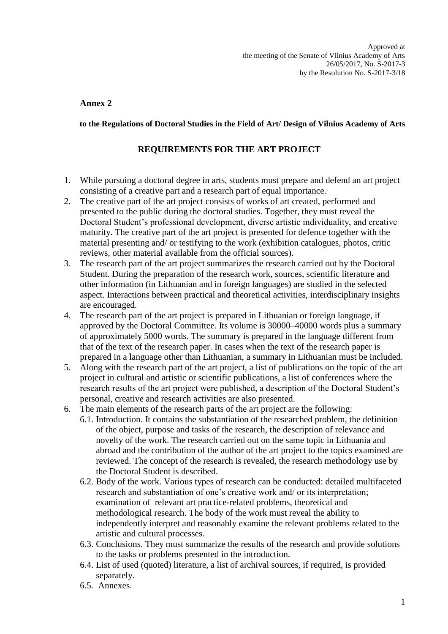## **Annex 2**

## **to the Regulations of Doctoral Studies in the Field of Art/ Design of Vilnius Academy of Arts**

## **REQUIREMENTS FOR THE ART PROJECT**

- 1. While pursuing a doctoral degree in arts, students must prepare and defend an art project consisting of a creative part and a research part of equal importance.
- 2. The creative part of the art project consists of works of art created, performed and presented to the public during the doctoral studies. Together, they must reveal the Doctoral Student's professional development, diverse artistic individuality, and creative maturity. The creative part of the art project is presented for defence together with the material presenting and/ or testifying to the work (exhibition catalogues, photos, critic reviews, other material available from the official sources).
- 3. The research part of the art project summarizes the research carried out by the Doctoral Student. During the preparation of the research work, sources, scientific literature and other information (in Lithuanian and in foreign languages) are studied in the selected aspect. Interactions between practical and theoretical activities, interdisciplinary insights are encouraged.
- 4. The research part of the art project is prepared in Lithuanian or foreign language, if approved by the Doctoral Committee. Its volume is 30000–40000 words plus a summary of approximately 5000 words. The summary is prepared in the language different from that of the text of the research paper. In cases when the text of the research paper is prepared in a language other than Lithuanian, a summary in Lithuanian must be included.
- 5. Along with the research part of the art project, a list of publications on the topic of the art project in cultural and artistic or scientific publications, a list of conferences where the research results of the art project were published, a description of the Doctoral Student's personal, creative and research activities are also presented.
- 6. The main elements of the research parts of the art project are the following:
	- 6.1. Introduction. It contains the substantiation of the researched problem, the definition of the object, purpose and tasks of the research, the description of relevance and novelty of the work. The research carried out on the same topic in Lithuania and abroad and the contribution of the author of the art project to the topics examined are reviewed. The concept of the research is revealed, the research methodology use by the Doctoral Student is described.
	- 6.2. Body of the work. Various types of research can be conducted: detailed multifaceted research and substantiation of one's creative work and/ or its interpretation; examination of relevant art practice-related problems, theoretical and methodological research. The body of the work must reveal the ability to independently interpret and reasonably examine the relevant problems related to the artistic and cultural processes.
	- 6.3. Conclusions. They must summarize the results of the research and provide solutions to the tasks or problems presented in the introduction.
	- 6.4. List of used (quoted) literature, a list of archival sources, if required, is provided separately.
	- 6.5. Annexes.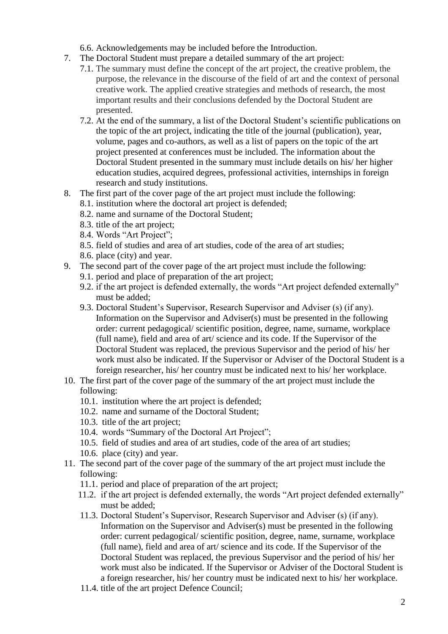- 6.6. Acknowledgements may be included before the Introduction.
- 7. The Doctoral Student must prepare a detailed summary of the art project:
	- 7.1. The summary must define the concept of the art project, the creative problem, the purpose, the relevance in the discourse of the field of art and the context of personal creative work. The applied creative strategies and methods of research, the most important results and their conclusions defended by the Doctoral Student are presented.
	- 7.2. At the end of the summary, a list of the Doctoral Student's scientific publications on the topic of the art project, indicating the title of the journal (publication), year, volume, pages and co-authors, as well as a list of papers on the topic of the art project presented at conferences must be included. The information about the Doctoral Student presented in the summary must include details on his/ her higher education studies, acquired degrees, professional activities, internships in foreign research and study institutions.
- 8. The first part of the cover page of the art project must include the following:
	- 8.1. institution where the doctoral art project is defended;
	- 8.2. name and surname of the Doctoral Student;
	- 8.3. title of the art project;
	- 8.4. Words "Art Project";
	- 8.5. field of studies and area of art studies, code of the area of art studies;
	- 8.6. place (city) and year.
- 9. The second part of the cover page of the art project must include the following:
	- 9.1. period and place of preparation of the art project;
	- 9.2. if the art project is defended externally, the words "Art project defended externally" must be added;
	- 9.3. Doctoral Student's Supervisor, Research Supervisor and Adviser (s) (if any). Information on the Supervisor and Adviser(s) must be presented in the following order: current pedagogical/ scientific position, degree, name, surname, workplace (full name), field and area of art/ science and its code. If the Supervisor of the Doctoral Student was replaced, the previous Supervisor and the period of his/ her work must also be indicated. If the Supervisor or Adviser of the Doctoral Student is a foreign researcher, his/ her country must be indicated next to his/ her workplace.
- 10. The first part of the cover page of the summary of the art project must include the following:
	- 10.1. institution where the art project is defended;
	- 10.2. name and surname of the Doctoral Student;
	- 10.3. title of the art project;
	- 10.4. words "Summary of the Doctoral Art Project";
	- 10.5. field of studies and area of art studies, code of the area of art studies;
	- 10.6. place (city) and year.
- 11. The second part of the cover page of the summary of the art project must include the following:
	- 11.1. period and place of preparation of the art project;
	- 11.2. if the art project is defended externally, the words "Art project defended externally" must be added;
	- 11.3. Doctoral Student's Supervisor, Research Supervisor and Adviser (s) (if any). Information on the Supervisor and Adviser(s) must be presented in the following order: current pedagogical/ scientific position, degree, name, surname, workplace (full name), field and area of art/ science and its code. If the Supervisor of the Doctoral Student was replaced, the previous Supervisor and the period of his/ her work must also be indicated. If the Supervisor or Adviser of the Doctoral Student is a foreign researcher, his/ her country must be indicated next to his/ her workplace.
	- 11.4. title of the art project Defence Council;